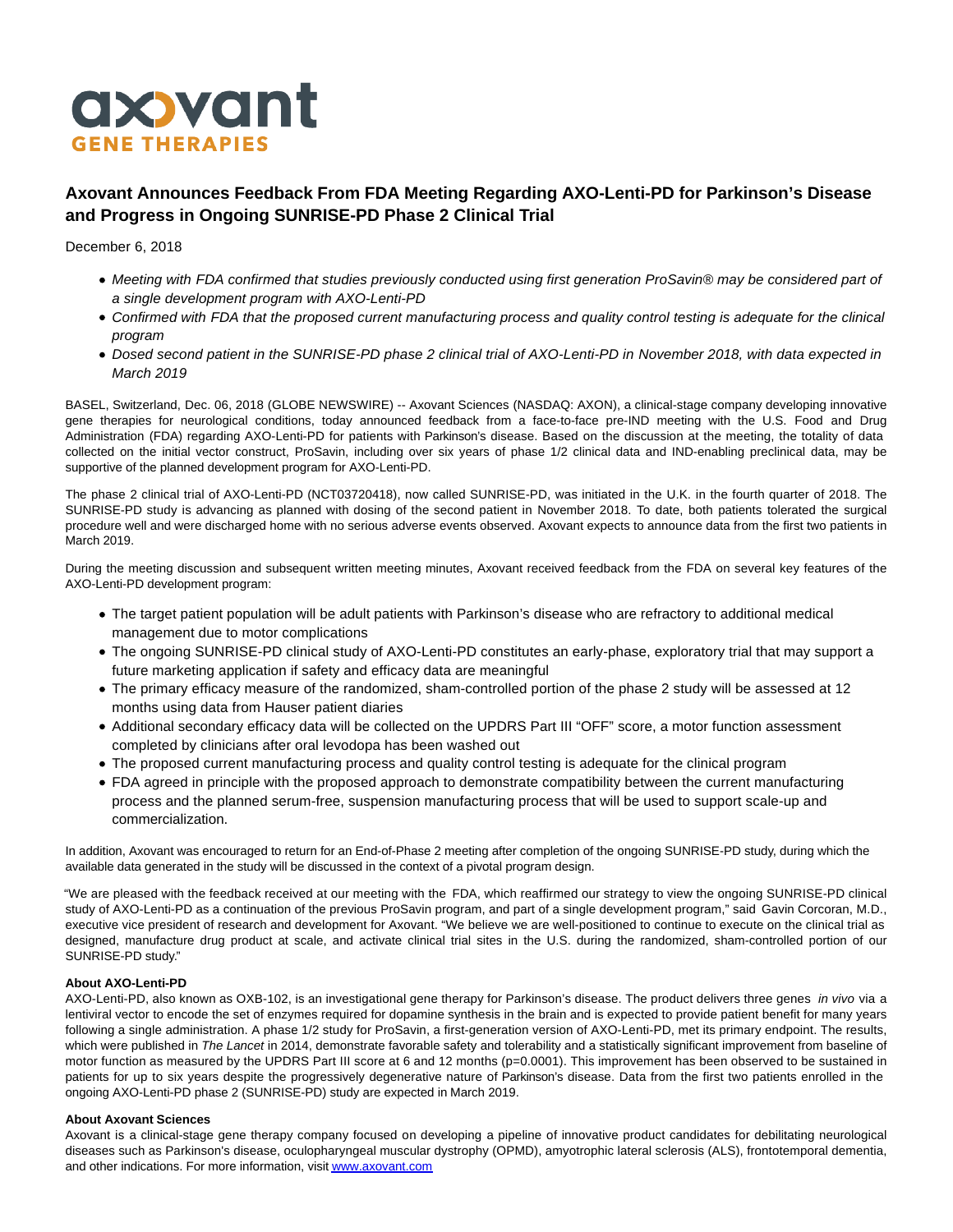

## **Axovant Announces Feedback From FDA Meeting Regarding AXO-Lenti-PD for Parkinson's Disease and Progress in Ongoing SUNRISE-PD Phase 2 Clinical Trial**

December 6, 2018

- Meeting with FDA confirmed that studies previously conducted using first generation ProSavin® may be considered part of a single development program with AXO-Lenti-PD
- Confirmed with FDA that the proposed current manufacturing process and quality control testing is adequate for the clinical program
- Dosed second patient in the SUNRISE-PD phase 2 clinical trial of AXO-Lenti-PD in November 2018, with data expected in March 2019

BASEL, Switzerland, Dec. 06, 2018 (GLOBE NEWSWIRE) -- Axovant Sciences (NASDAQ: AXON), a clinical-stage company developing innovative gene therapies for neurological conditions, today announced feedback from a face-to-face pre-IND meeting with the U.S. Food and Drug Administration (FDA) regarding AXO-Lenti-PD for patients with Parkinson's disease. Based on the discussion at the meeting, the totality of data collected on the initial vector construct, ProSavin, including over six years of phase 1/2 clinical data and IND-enabling preclinical data, may be supportive of the planned development program for AXO-Lenti-PD.

The phase 2 clinical trial of AXO-Lenti-PD (NCT03720418), now called SUNRISE-PD, was initiated in the U.K. in the fourth quarter of 2018. The SUNRISE-PD study is advancing as planned with dosing of the second patient in November 2018. To date, both patients tolerated the surgical procedure well and were discharged home with no serious adverse events observed. Axovant expects to announce data from the first two patients in March 2019.

During the meeting discussion and subsequent written meeting minutes, Axovant received feedback from the FDA on several key features of the AXO-Lenti-PD development program:

- The target patient population will be adult patients with Parkinson's disease who are refractory to additional medical management due to motor complications
- The ongoing SUNRISE-PD clinical study of AXO-Lenti-PD constitutes an early-phase, exploratory trial that may support a future marketing application if safety and efficacy data are meaningful
- The primary efficacy measure of the randomized, sham-controlled portion of the phase 2 study will be assessed at 12 months using data from Hauser patient diaries
- Additional secondary efficacy data will be collected on the UPDRS Part III "OFF" score, a motor function assessment completed by clinicians after oral levodopa has been washed out
- The proposed current manufacturing process and quality control testing is adequate for the clinical program
- FDA agreed in principle with the proposed approach to demonstrate compatibility between the current manufacturing process and the planned serum-free, suspension manufacturing process that will be used to support scale-up and commercialization.

In addition, Axovant was encouraged to return for an End-of-Phase 2 meeting after completion of the ongoing SUNRISE-PD study, during which the available data generated in the study will be discussed in the context of a pivotal program design.

"We are pleased with the feedback received at our meeting with the FDA, which reaffirmed our strategy to view the ongoing SUNRISE-PD clinical study of AXO-Lenti-PD as a continuation of the previous ProSavin program, and part of a single development program," said Gavin Corcoran, M.D., executive vice president of research and development for Axovant. "We believe we are well-positioned to continue to execute on the clinical trial as designed, manufacture drug product at scale, and activate clinical trial sites in the U.S. during the randomized, sham-controlled portion of our SUNRISE-PD study."

## **About AXO-Lenti-PD**

AXO-Lenti-PD, also known as OXB-102, is an investigational gene therapy for Parkinson's disease. The product delivers three genes in vivo via a lentiviral vector to encode the set of enzymes required for dopamine synthesis in the brain and is expected to provide patient benefit for many years following a single administration. A phase 1/2 study for ProSavin, a first-generation version of AXO-Lenti-PD, met its primary endpoint. The results, which were published in The Lancet in 2014, demonstrate favorable safety and tolerability and a statistically significant improvement from baseline of motor function as measured by the UPDRS Part III score at 6 and 12 months (p=0.0001). This improvement has been observed to be sustained in patients for up to six years despite the progressively degenerative nature of Parkinson's disease. Data from the first two patients enrolled in the ongoing AXO-Lenti-PD phase 2 (SUNRISE-PD) study are expected in March 2019.

## **About Axovant Sciences**

Axovant is a clinical-stage gene therapy company focused on developing a pipeline of innovative product candidates for debilitating neurological diseases such as Parkinson's disease, oculopharyngeal muscular dystrophy (OPMD), amyotrophic lateral sclerosis (ALS), frontotemporal dementia, and other indications. For more information, visi[t www.axovant.com](https://www.globenewswire.com/Tracker?data=oxwMelg5S2GNHM9v6OtUZIVgz5wduNgkZ59z_gD5Xm1YSfVFMLXvnCQPRfL1PhT98WHofS7w4HmEZnmgtkSYbw==)